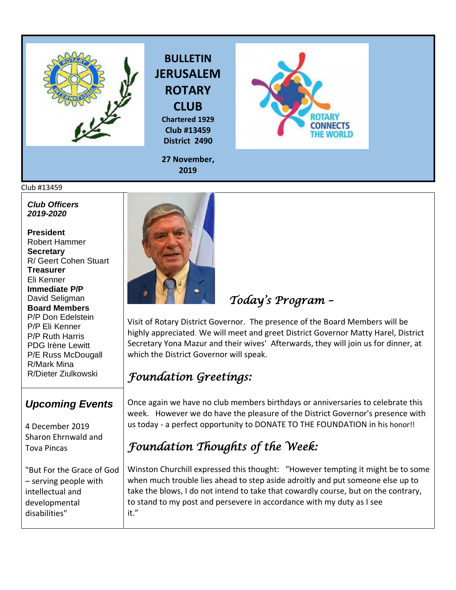



**Chartered 1929 Club #13459 District 2490**



**27 November, 2019**

## Club #13459

*Club Officers 2019-2020*

**President**  Robert Hammer **Secretary**  R/ Geert Cohen Stuart **Treasurer**  Eli Kenner **Immediate P/P** David Seligman **Board Members**  P/P Don Edelstein P/P Eli Kenner P/P Ruth Harris PDG Irène Lewitt P/E Russ McDougall R/Mark Mina R/Dieter Ziulkowski

## *Upcoming Events*

4 December 2019 Sharon Ehrnwald and Tova Pincas

"But For the Grace of God – serving people with intellectual and developmental disabilities"



 *Today's Program –* 

Visit of Rotary District Governor. The presence of the Board Members will be highly appreciated. We will meet and greet District Governor Matty Harel, District Secretary Yona Mazur and their wives' Afterwards, they will join us for dinner, at which the District Governor will speak.

## *Foundation Greetings:*

Once again we have no club members birthdays or anniversaries to celebrate this week. However we do have the pleasure of the District Governor's presence with us today - a perfect opportunity to DONATE TO THE FOUNDATION in his honor!!

## *Foundation Thoughts of the Week:*

Winston Churchill expressed this thought: "However tempting it might be to some when much trouble lies ahead to step aside adroitly and put someone else up to take the blows, I do not intend to take that cowardly course, but on the contrary, to stand to my post and persevere in accordance with my duty as I see it."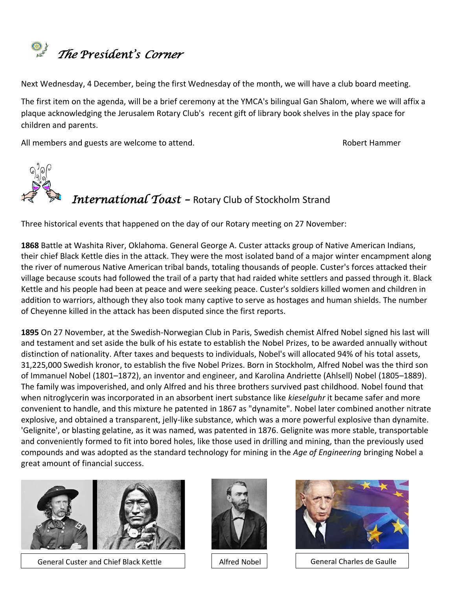

Next Wednesday, 4 December, being the first Wednesday of the month, we will have a club board meeting.

The first item on the agenda, will be a brief ceremony at the YMCA's bilingual Gan Shalom, where we will affix a plaque acknowledging the Jerusalem Rotary Club's recent gift of library book shelves in the play space for children and parents.

All members and guests are welcome to attend. The manufacture of the state of the Robert Hammer



Three historical events that happened on the day of our Rotary meeting on 27 November:

**[1868](https://www.onthisday.com/events/date/1868)** Battle at Washita River, Oklahoma. General [George A. Custer](https://www.onthisday.com/people/george-armstrong-custer) attacks group of Native American Indians, their chief Black Kettle dies in the attack. They were the most isolated band of a major winter encampment along the river of numerous Native American tribal bands, totaling thousands of people. Custer's forces attacked their village because scouts had followed the trail of a party that had raided white settlers and passed through it. Black Kettle and his people had been at peace and were seeking peace. Custer's soldiers killed women and children in addition to warriors, although they also took many captive to serve as hostages and human shields. The number of Cheyenne killed in the attack has been disputed since the first reports.

**[1895](https://www.onthisday.com/events/date/1895)** On 27 November, at the [Swedish](https://en.wikipedia.org/wiki/Sweden)[-Norwegian](https://en.wikipedia.org/wiki/Norway) Club in Paris, Swedish chemist Alfred Nobel signed his last will and testament and set aside the bulk of his estate to establish the [Nobel Prizes,](https://en.wikipedia.org/wiki/Nobel_Prize) to be awarded annually without distinction of nationality. After taxes and bequests to individuals, Nobel's will allocated 94% of his total assets, 31,225,000 [Swedish kronor,](https://en.wikipedia.org/wiki/Swedish_kronor) to establish the five Nobel Prizes. Born in [Stockholm,](https://en.wikipedia.org/wiki/Stockholm) Alfred Nobel was the third son of [Immanuel Nobel](https://en.wikipedia.org/wiki/Immanuel_Nobel) (1801–1872), an inventor and engineer, and [Karolina Andriette \(Ahlsell\) Nobel](https://en.wikipedia.org/wiki/Andriette_Nobel) (1805–1889). The family was impoverished, and only Alfred and his three brothers survived past childhood. Nobel found that when [nitroglycerin](https://en.wikipedia.org/wiki/Nitroglycerin) was incorporated in an absorbent inert substance like *kieselguhr* it became safer and more convenient to handle, and this mixture he patented in 1867 as "dynamite". Nobel later combined another nitrate explosive, and obtained a transparent, jelly-like substance, which was a more powerful explosive than dynamite. ['Gelignite'](https://en.wikipedia.org/wiki/Gelignite), or blasting gelatine, as it was named, was patented in 1876. Gelignite was more stable, transportable and conveniently formed to fit into bored holes, like those used in drilling and mining, than the previously used compounds and was adopted as the standard technology for mining in the *Age of Engineering* bringing Nobel a great amount of financial success.



General Custer and Chief Black Kettle





Alfred Nobel | General Charles de Gaulle